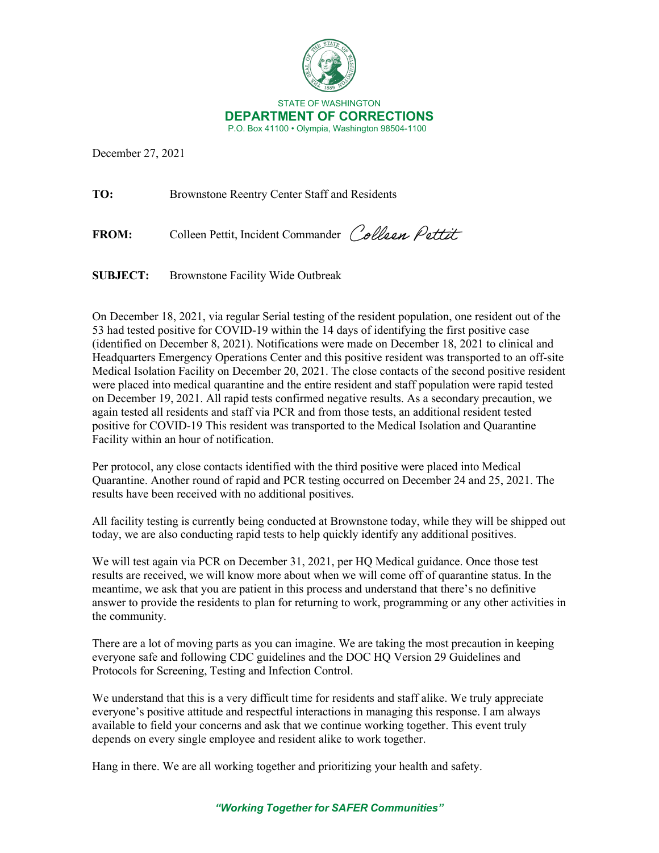

December 27, 2021

**TO:** Brownstone Reentry Center Staff and Residents

FROM: Colleen Pettit, Incident Commander Colleen Pettit

**SUBJECT:** Brownstone Facility Wide Outbreak

On December 18, 2021, via regular Serial testing of the resident population, one resident out of the 53 had tested positive for COVID-19 within the 14 days of identifying the first positive case (identified on December 8, 2021). Notifications were made on December 18, 2021 to clinical and Headquarters Emergency Operations Center and this positive resident was transported to an off-site Medical Isolation Facility on December 20, 2021. The close contacts of the second positive resident were placed into medical quarantine and the entire resident and staff population were rapid tested on December 19, 2021. All rapid tests confirmed negative results. As a secondary precaution, we again tested all residents and staff via PCR and from those tests, an additional resident tested positive for COVID-19 This resident was transported to the Medical Isolation and Quarantine Facility within an hour of notification.

Per protocol, any close contacts identified with the third positive were placed into Medical Quarantine. Another round of rapid and PCR testing occurred on December 24 and 25, 2021. The results have been received with no additional positives.

All facility testing is currently being conducted at Brownstone today, while they will be shipped out today, we are also conducting rapid tests to help quickly identify any additional positives.

We will test again via PCR on December 31, 2021, per HQ Medical guidance. Once those test results are received, we will know more about when we will come off of quarantine status. In the meantime, we ask that you are patient in this process and understand that there's no definitive answer to provide the residents to plan for returning to work, programming or any other activities in the community.

There are a lot of moving parts as you can imagine. We are taking the most precaution in keeping everyone safe and following CDC guidelines and the DOC HQ Version 29 Guidelines and Protocols for Screening, Testing and Infection Control.

We understand that this is a very difficult time for residents and staff alike. We truly appreciate everyone's positive attitude and respectful interactions in managing this response. I am always available to field your concerns and ask that we continue working together. This event truly depends on every single employee and resident alike to work together.

Hang in there. We are all working together and prioritizing your health and safety.